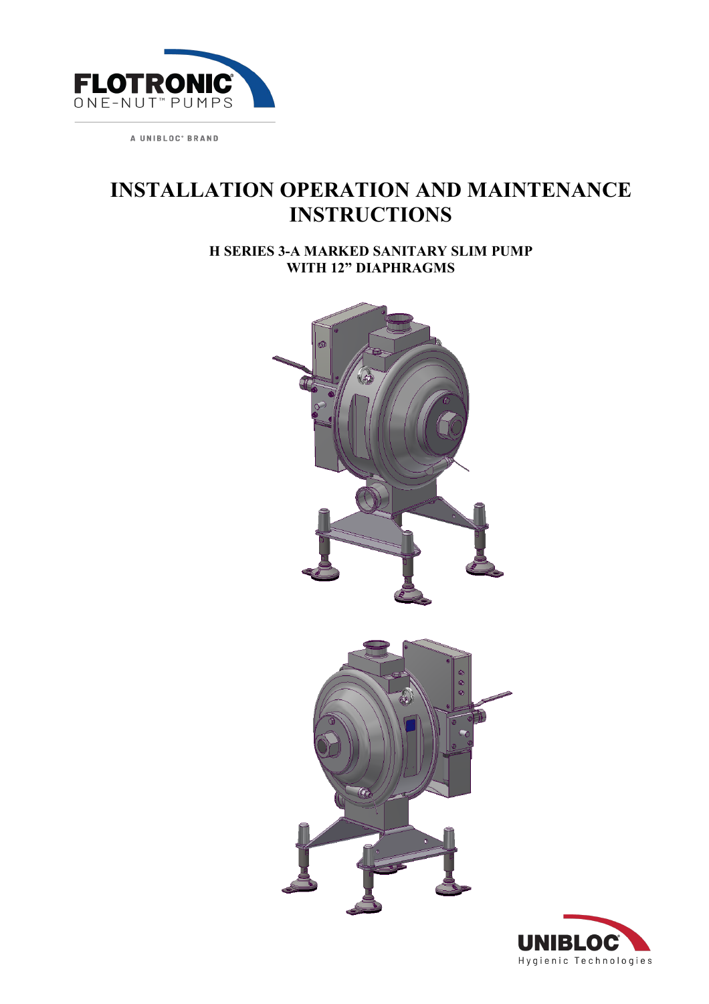

# **INSTALLATION OPERATION AND MAINTENANCE INSTRUCTIONS**

**H SERIES 3-A MARKED SANITARY SLIM PUMP WITH 12" DIAPHRAGMS**



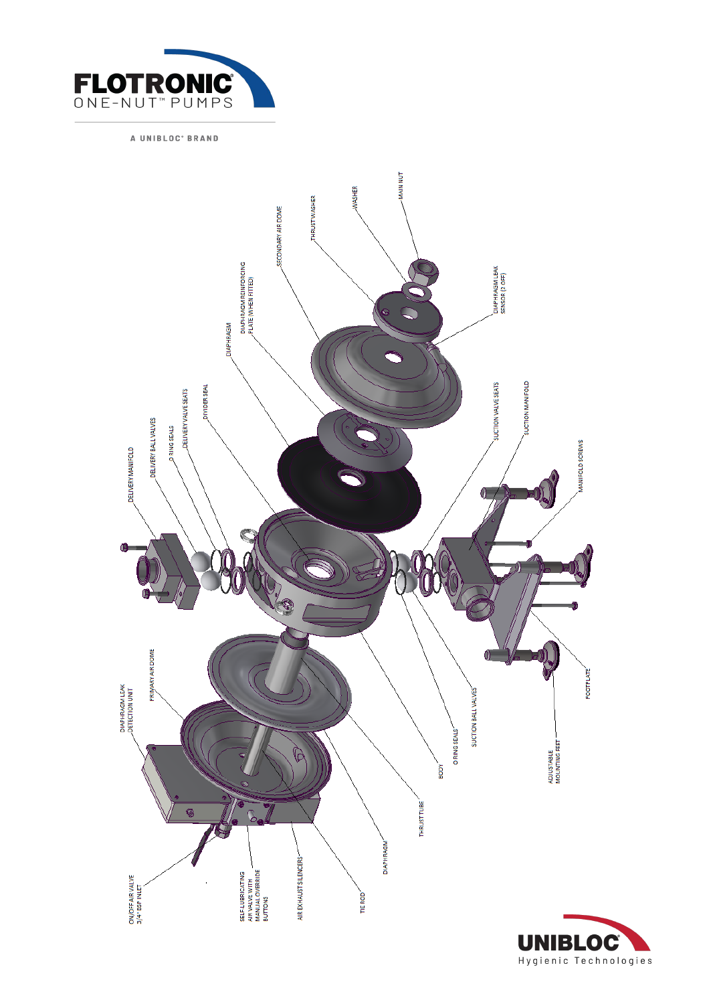



Hygienic Technologies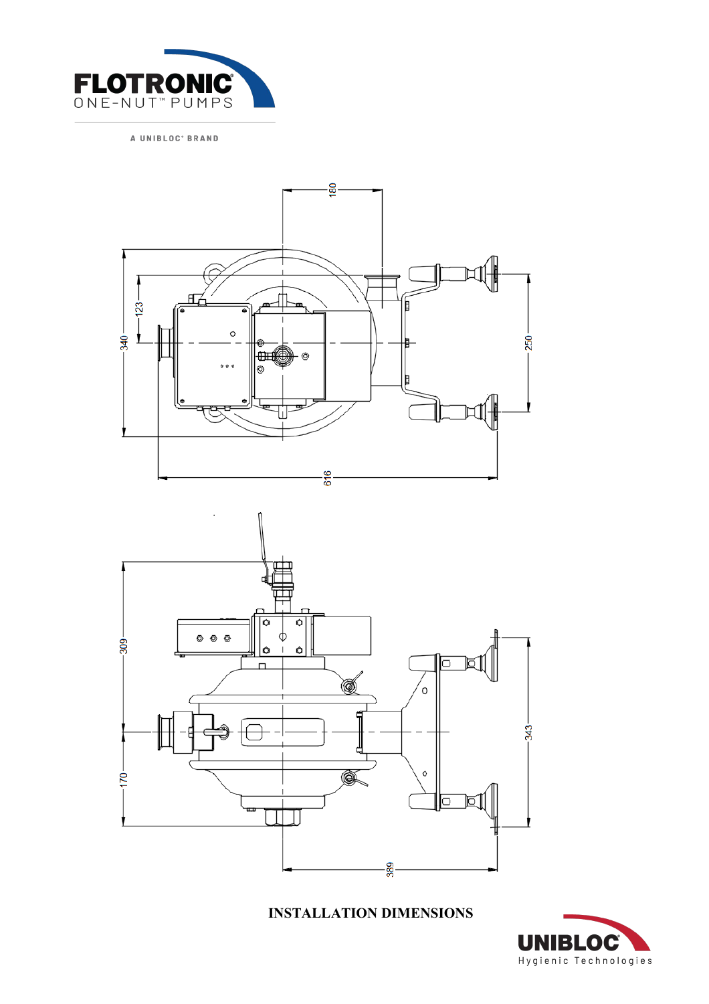





**INSTALLATION DIMENSIONS** 

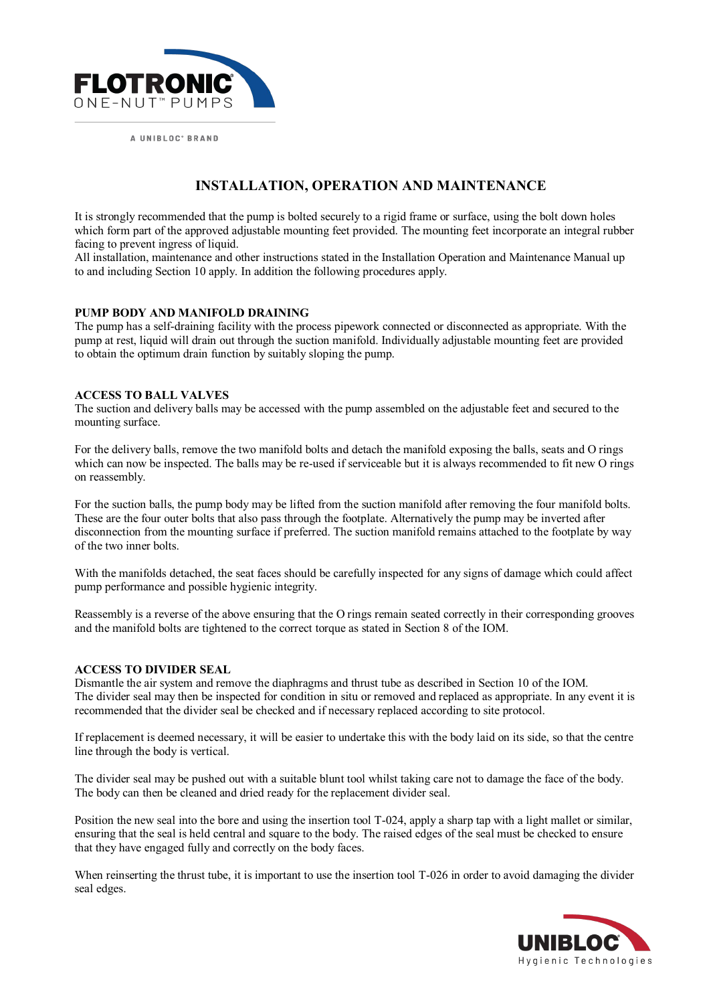

# **INSTALLATION, OPERATION AND MAINTENANCE**

It is strongly recommended that the pump is bolted securely to a rigid frame or surface, using the bolt down holes which form part of the approved adjustable mounting feet provided. The mounting feet incorporate an integral rubber facing to prevent ingress of liquid.

All installation, maintenance and other instructions stated in the Installation Operation and Maintenance Manual up to and including Section 10 apply. In addition the following procedures apply.

### **PUMP BODY AND MANIFOLD DRAINING**

The pump has a self-draining facility with the process pipework connected or disconnected as appropriate. With the pump at rest, liquid will drain out through the suction manifold. Individually adjustable mounting feet are provided to obtain the optimum drain function by suitably sloping the pump.

### **ACCESS TO BALL VALVES**

The suction and delivery balls may be accessed with the pump assembled on the adjustable feet and secured to the mounting surface.

For the delivery balls, remove the two manifold bolts and detach the manifold exposing the balls, seats and O rings which can now be inspected. The balls may be re-used if serviceable but it is always recommended to fit new O rings on reassembly.

For the suction balls, the pump body may be lifted from the suction manifold after removing the four manifold bolts. These are the four outer bolts that also pass through the footplate. Alternatively the pump may be inverted after disconnection from the mounting surface if preferred. The suction manifold remains attached to the footplate by way of the two inner bolts.

With the manifolds detached, the seat faces should be carefully inspected for any signs of damage which could affect pump performance and possible hygienic integrity.

Reassembly is a reverse of the above ensuring that the O rings remain seated correctly in their corresponding grooves and the manifold bolts are tightened to the correct torque as stated in Section 8 of the IOM.

#### **ACCESS TO DIVIDER SEAL**

Dismantle the air system and remove the diaphragms and thrust tube as described in Section 10 of the IOM. The divider seal may then be inspected for condition in situ or removed and replaced as appropriate. In any event it is recommended that the divider seal be checked and if necessary replaced according to site protocol.

If replacement is deemed necessary, it will be easier to undertake this with the body laid on its side, so that the centre line through the body is vertical.

The divider seal may be pushed out with a suitable blunt tool whilst taking care not to damage the face of the body. The body can then be cleaned and dried ready for the replacement divider seal.

Position the new seal into the bore and using the insertion tool T-024, apply a sharp tap with a light mallet or similar, ensuring that the seal is held central and square to the body. The raised edges of the seal must be checked to ensure that they have engaged fully and correctly on the body faces.

When reinserting the thrust tube, it is important to use the insertion tool T-026 in order to avoid damaging the divider seal edges.

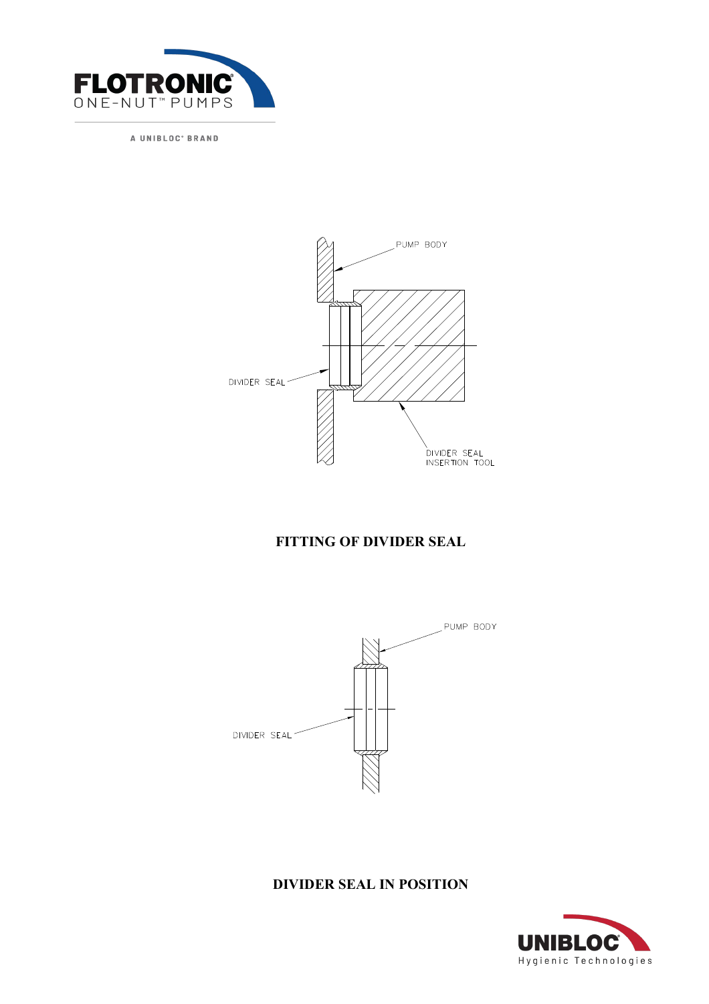



# **FITTING OF DIVIDER SEAL**



## **DIVIDER SEAL IN POSITION**